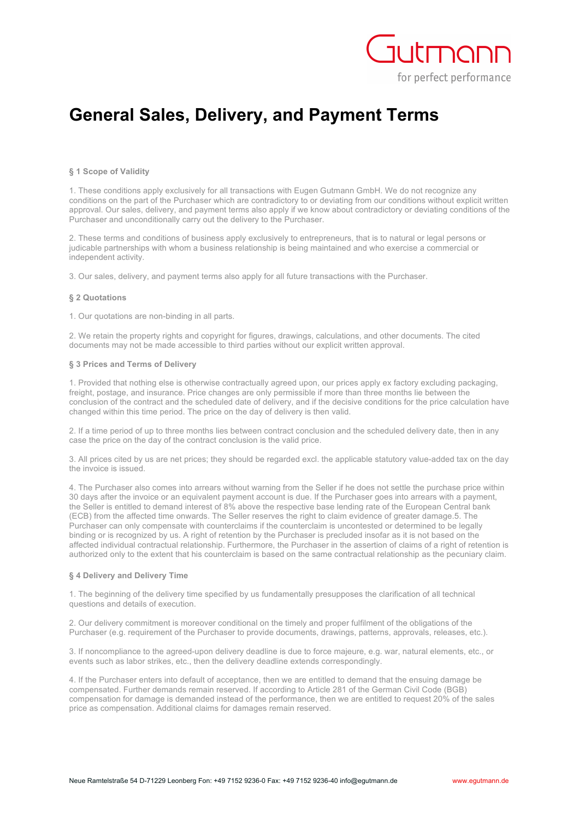

# **General Sales, Delivery, and Payment Terms**

### **§ 1 Scope of Validity**

1. These conditions apply exclusively for all transactions with Eugen Gutmann GmbH. We do not recognize any conditions on the part of the Purchaser which are contradictory to or deviating from our conditions without explicit written approval. Our sales, delivery, and payment terms also apply if we know about contradictory or deviating conditions of the Purchaser and unconditionally carry out the delivery to the Purchaser.

2. These terms and conditions of business apply exclusively to entrepreneurs, that is to natural or legal persons or judicable partnerships with whom a business relationship is being maintained and who exercise a commercial or independent activity.

3. Our sales, delivery, and payment terms also apply for all future transactions with the Purchaser.

#### **§ 2 Quotations**

1. Our quotations are non-binding in all parts.

2. We retain the property rights and copyright for figures, drawings, calculations, and other documents. The cited documents may not be made accessible to third parties without our explicit written approval.

#### **§ 3 Prices and Terms of Delivery**

1. Provided that nothing else is otherwise contractually agreed upon, our prices apply ex factory excluding packaging, freight, postage, and insurance. Price changes are only permissible if more than three months lie between the conclusion of the contract and the scheduled date of delivery, and if the decisive conditions for the price calculation have changed within this time period. The price on the day of delivery is then valid.

2. If a time period of up to three months lies between contract conclusion and the scheduled delivery date, then in any case the price on the day of the contract conclusion is the valid price.

3. All prices cited by us are net prices; they should be regarded excl. the applicable statutory value-added tax on the day the invoice is issued.

4. The Purchaser also comes into arrears without warning from the Seller if he does not settle the purchase price within 30 days after the invoice or an equivalent payment account is due. If the Purchaser goes into arrears with a payment, the Seller is entitled to demand interest of 8% above the respective base lending rate of the European Central bank (ECB) from the affected time onwards. The Seller reserves the right to claim evidence of greater damage.5. The Purchaser can only compensate with counterclaims if the counterclaim is uncontested or determined to be legally binding or is recognized by us. A right of retention by the Purchaser is precluded insofar as it is not based on the affected individual contractual relationship. Furthermore, the Purchaser in the assertion of claims of a right of retention is authorized only to the extent that his counterclaim is based on the same contractual relationship as the pecuniary claim.

#### **§ 4 Delivery and Delivery Time**

1. The beginning of the delivery time specified by us fundamentally presupposes the clarification of all technical questions and details of execution.

2. Our delivery commitment is moreover conditional on the timely and proper fulfilment of the obligations of the Purchaser (e.g. requirement of the Purchaser to provide documents, drawings, patterns, approvals, releases, etc.).

3. If noncompliance to the agreed-upon delivery deadline is due to force majeure, e.g. war, natural elements, etc., or events such as labor strikes, etc., then the delivery deadline extends correspondingly.

4. If the Purchaser enters into default of acceptance, then we are entitled to demand that the ensuing damage be compensated. Further demands remain reserved. If according to Article 281 of the German Civil Code (BGB) compensation for damage is demanded instead of the performance, then we are entitled to request 20% of the sales price as compensation. Additional claims for damages remain reserved.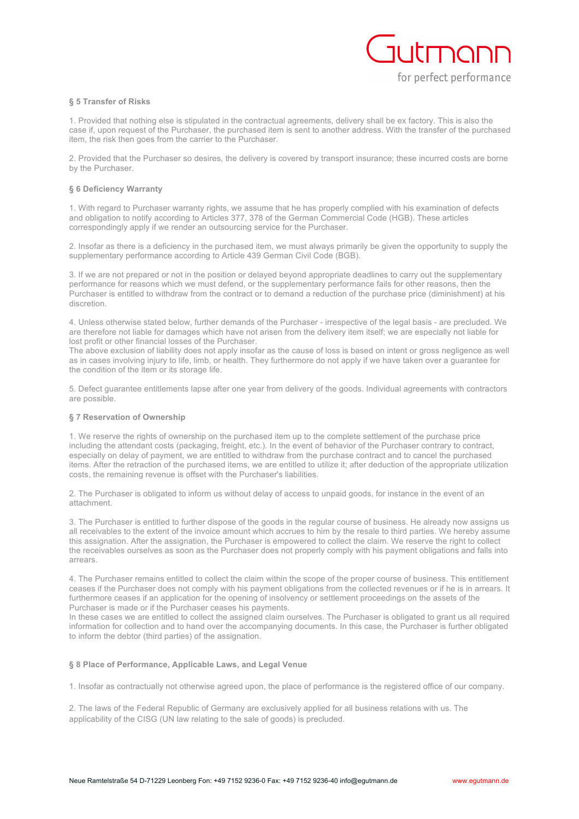

## **§ 5 Transfer of Risks**

1. Provided that nothing else is stipulated in the contractual agreements, delivery shall be ex factory. This is also the case if, upon request of the Purchaser, the purchased item is sent to another address. With the transfer of the purchased item, the risk then goes from the carrier to the Purchaser.

2. Provided that the Purchaser so desires, the delivery is covered by transport insurance; these incurred costs are borne by the Purchaser.

## **§ 6 Deficiency Warranty**

1. With regard to Purchaser warranty rights, we assume that he has properly complied with his examination of defects and obligation to notify according to Articles 377, 378 of the German Commercial Code (HGB). These articles correspondingly apply if we render an outsourcing service for the Purchaser.

2. Insofar as there is a deficiency in the purchased item, we must always primarily be given the opportunity to supply the supplementary performance according to Article 439 German Civil Code (BGB).

3. If we are not prepared or not in the position or delayed beyond appropriate deadlines to carry out the supplementary performance for reasons which we must defend, or the supplementary performance fails for other reasons, then the Purchaser is entitled to withdraw from the contract or to demand a reduction of the purchase price (diminishment) at his discretion.

4. Unless otherwise stated below, further demands of the Purchaser - irrespective of the legal basis - are precluded. We are therefore not liable for damages which have not arisen from the delivery item itself; we are especially not liable for lost profit or other financial losses of the Purchaser.

The above exclusion of liability does not apply insofar as the cause of loss is based on intent or gross negligence as well as in cases involving injury to life, limb, or health. They furthermore do not apply if we have taken over a guarantee for the condition of the item or its storage life.

5. Defect guarantee entitlements lapse after one year from delivery of the goods. Individual agreements with contractors are possible.

## **§ 7 Reservation of Ownership**

1. We reserve the rights of ownership on the purchased item up to the complete settlement of the purchase price including the attendant costs (packaging, freight, etc.). In the event of behavior of the Purchaser contrary to contract, especially on delay of payment, we are entitled to withdraw from the purchase contract and to cancel the purchased items. After the retraction of the purchased items, we are entitled to utilize it; after deduction of the appropriate utilization costs, the remaining revenue is offset with the Purchaser's liabilities.

2. The Purchaser is obligated to inform us without delay of access to unpaid goods, for instance in the event of an attachment.

3. The Purchaser is entitled to further dispose of the goods in the regular course of business. He already now assigns us all receivables to the extent of the invoice amount which accrues to him by the resale to third parties. We hereby assume this assignation. After the assignation, the Purchaser is empowered to collect the claim. We reserve the right to collect the receivables ourselves as soon as the Purchaser does not properly comply with his payment obligations and falls into arrears.

4. The Purchaser remains entitled to collect the claim within the scope of the proper course of business. This entitlement ceases if the Purchaser does not comply with his payment obligations from the collected revenues or if he is in arrears. It furthermore ceases if an application for the opening of insolvency or settlement proceedings on the assets of the Purchaser is made or if the Purchaser ceases his payments.

In these cases we are entitled to collect the assigned claim ourselves. The Purchaser is obligated to grant us all required information for collection and to hand over the accompanying documents. In this case, the Purchaser is further obligated to inform the debtor (third parties) of the assignation.

# **§ 8 Place of Performance, Applicable Laws, and Legal Venue**

1. Insofar as contractually not otherwise agreed upon, the place of performance is the registered office of our company.

2. The laws of the Federal Republic of Germany are exclusively applied for all business relations with us. The applicability of the CISG (UN law relating to the sale of goods) is precluded.